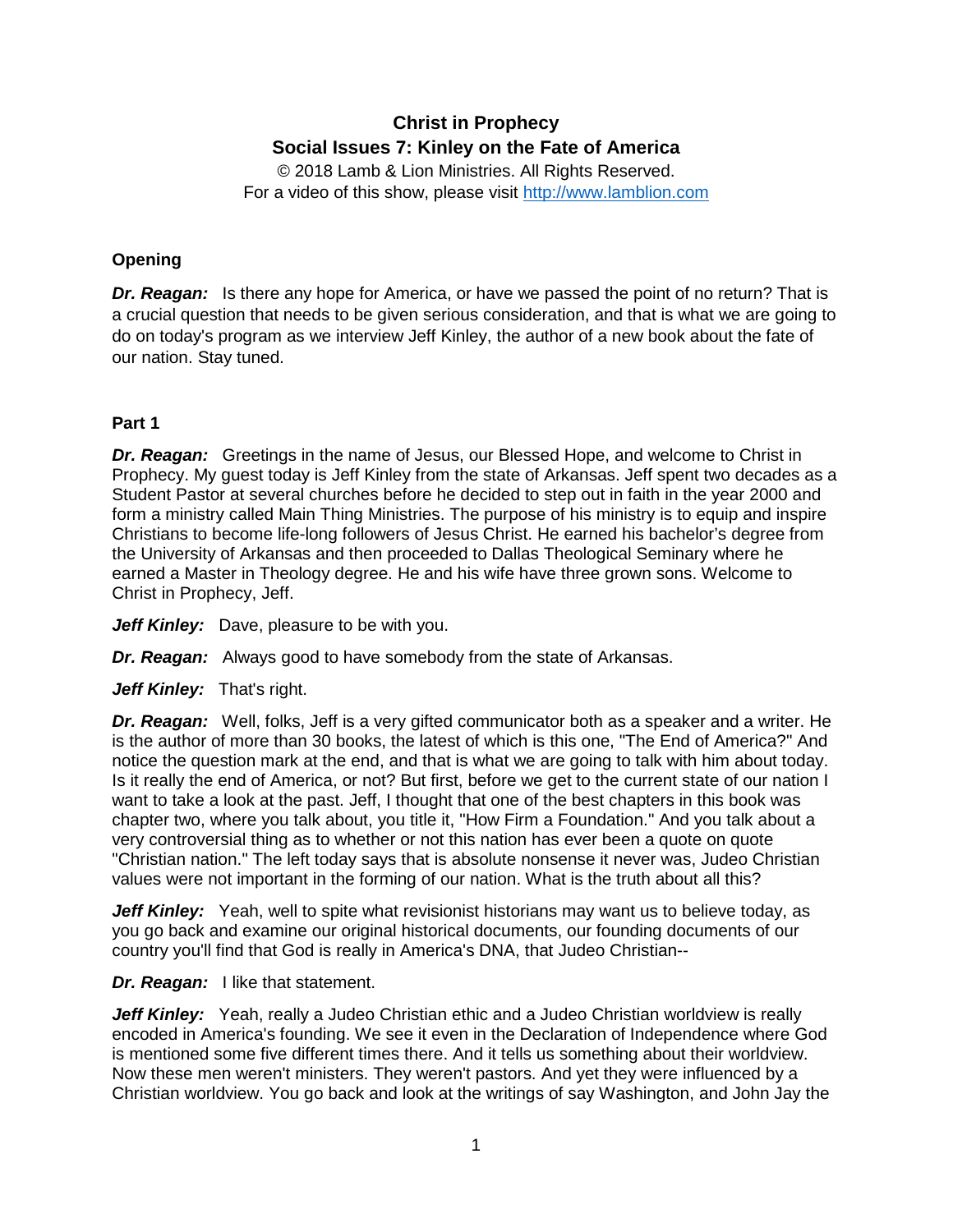# **Christ in Prophecy Social Issues 7: Kinley on the Fate of America**

© 2018 Lamb & Lion Ministries. All Rights Reserved. For a video of this show, please visit [http://www.lamblion.com](http://www.lamblion.com/)

## **Opening**

**Dr. Reagan:** Is there any hope for America, or have we passed the point of no return? That is a crucial question that needs to be given serious consideration, and that is what we are going to do on today's program as we interview Jeff Kinley, the author of a new book about the fate of our nation. Stay tuned.

## **Part 1**

**Dr. Reagan:** Greetings in the name of Jesus, our Blessed Hope, and welcome to Christ in Prophecy. My guest today is Jeff Kinley from the state of Arkansas. Jeff spent two decades as a Student Pastor at several churches before he decided to step out in faith in the year 2000 and form a ministry called Main Thing Ministries. The purpose of his ministry is to equip and inspire Christians to become life-long followers of Jesus Christ. He earned his bachelor's degree from the University of Arkansas and then proceeded to Dallas Theological Seminary where he earned a Master in Theology degree. He and his wife have three grown sons. Welcome to Christ in Prophecy, Jeff.

Jeff Kinley: Dave, pleasure to be with you.

*Dr. Reagan:* Always good to have somebody from the state of Arkansas.

Jeff Kinley: That's right.

*Dr. Reagan:* Well, folks, Jeff is a very gifted communicator both as a speaker and a writer. He is the author of more than 30 books, the latest of which is this one, "The End of America?" And notice the question mark at the end, and that is what we are going to talk with him about today. Is it really the end of America, or not? But first, before we get to the current state of our nation I want to take a look at the past. Jeff, I thought that one of the best chapters in this book was chapter two, where you talk about, you title it, "How Firm a Foundation." And you talk about a very controversial thing as to whether or not this nation has ever been a quote on quote "Christian nation." The left today says that is absolute nonsense it never was, Judeo Christian values were not important in the forming of our nation. What is the truth about all this?

**Jeff Kinley:** Yeah, well to spite what revisionist historians may want us to believe today, as you go back and examine our original historical documents, our founding documents of our country you'll find that God is really in America's DNA, that Judeo Christian--

## *Dr. Reagan:* I like that statement.

**Jeff Kinley:** Yeah, really a Judeo Christian ethic and a Judeo Christian worldview is really encoded in America's founding. We see it even in the Declaration of Independence where God is mentioned some five different times there. And it tells us something about their worldview. Now these men weren't ministers. They weren't pastors. And yet they were influenced by a Christian worldview. You go back and look at the writings of say Washington, and John Jay the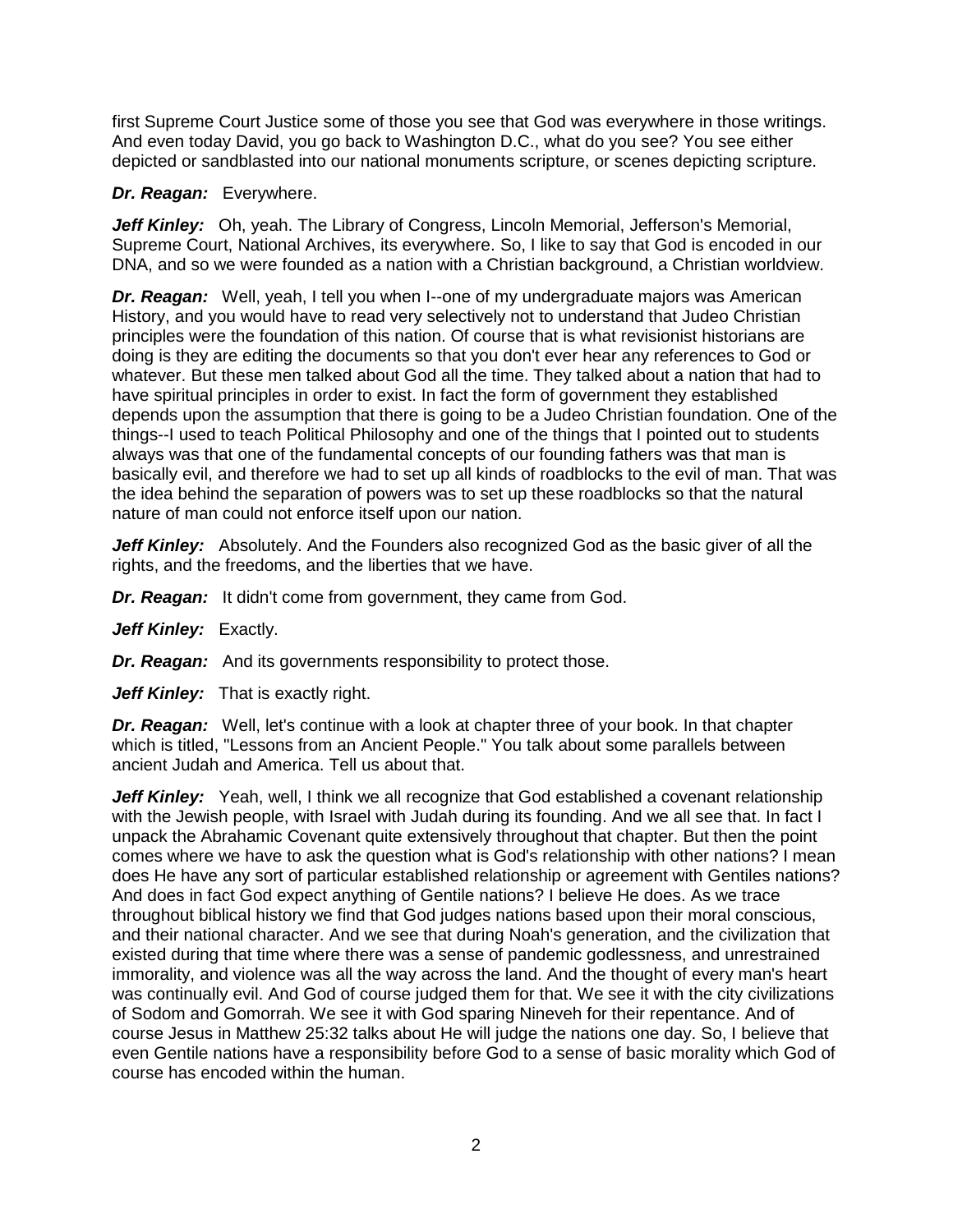first Supreme Court Justice some of those you see that God was everywhere in those writings. And even today David, you go back to Washington D.C., what do you see? You see either depicted or sandblasted into our national monuments scripture, or scenes depicting scripture.

#### *Dr. Reagan:* Everywhere.

Jeff Kinley: Oh, yeah. The Library of Congress, Lincoln Memorial, Jefferson's Memorial, Supreme Court, National Archives, its everywhere. So, I like to say that God is encoded in our DNA, and so we were founded as a nation with a Christian background, a Christian worldview.

*Dr. Reagan:* Well, yeah, I tell you when I--one of my undergraduate majors was American History, and you would have to read very selectively not to understand that Judeo Christian principles were the foundation of this nation. Of course that is what revisionist historians are doing is they are editing the documents so that you don't ever hear any references to God or whatever. But these men talked about God all the time. They talked about a nation that had to have spiritual principles in order to exist. In fact the form of government they established depends upon the assumption that there is going to be a Judeo Christian foundation. One of the things--I used to teach Political Philosophy and one of the things that I pointed out to students always was that one of the fundamental concepts of our founding fathers was that man is basically evil, and therefore we had to set up all kinds of roadblocks to the evil of man. That was the idea behind the separation of powers was to set up these roadblocks so that the natural nature of man could not enforce itself upon our nation.

**Jeff Kinley:** Absolutely. And the Founders also recognized God as the basic giver of all the rights, and the freedoms, and the liberties that we have.

**Dr. Reagan:** It didn't come from government, they came from God.

Jeff Kinley: Exactly.

*Dr. Reagan:* And its governments responsibility to protect those.

Jeff Kinley: That is exactly right.

*Dr. Reagan:* Well, let's continue with a look at chapter three of your book. In that chapter which is titled, "Lessons from an Ancient People." You talk about some parallels between ancient Judah and America. Tell us about that.

Jeff Kinley: Yeah, well, I think we all recognize that God established a covenant relationship with the Jewish people, with Israel with Judah during its founding. And we all see that. In fact I unpack the Abrahamic Covenant quite extensively throughout that chapter. But then the point comes where we have to ask the question what is God's relationship with other nations? I mean does He have any sort of particular established relationship or agreement with Gentiles nations? And does in fact God expect anything of Gentile nations? I believe He does. As we trace throughout biblical history we find that God judges nations based upon their moral conscious, and their national character. And we see that during Noah's generation, and the civilization that existed during that time where there was a sense of pandemic godlessness, and unrestrained immorality, and violence was all the way across the land. And the thought of every man's heart was continually evil. And God of course judged them for that. We see it with the city civilizations of Sodom and Gomorrah. We see it with God sparing Nineveh for their repentance. And of course Jesus in Matthew 25:32 talks about He will judge the nations one day. So, I believe that even Gentile nations have a responsibility before God to a sense of basic morality which God of course has encoded within the human.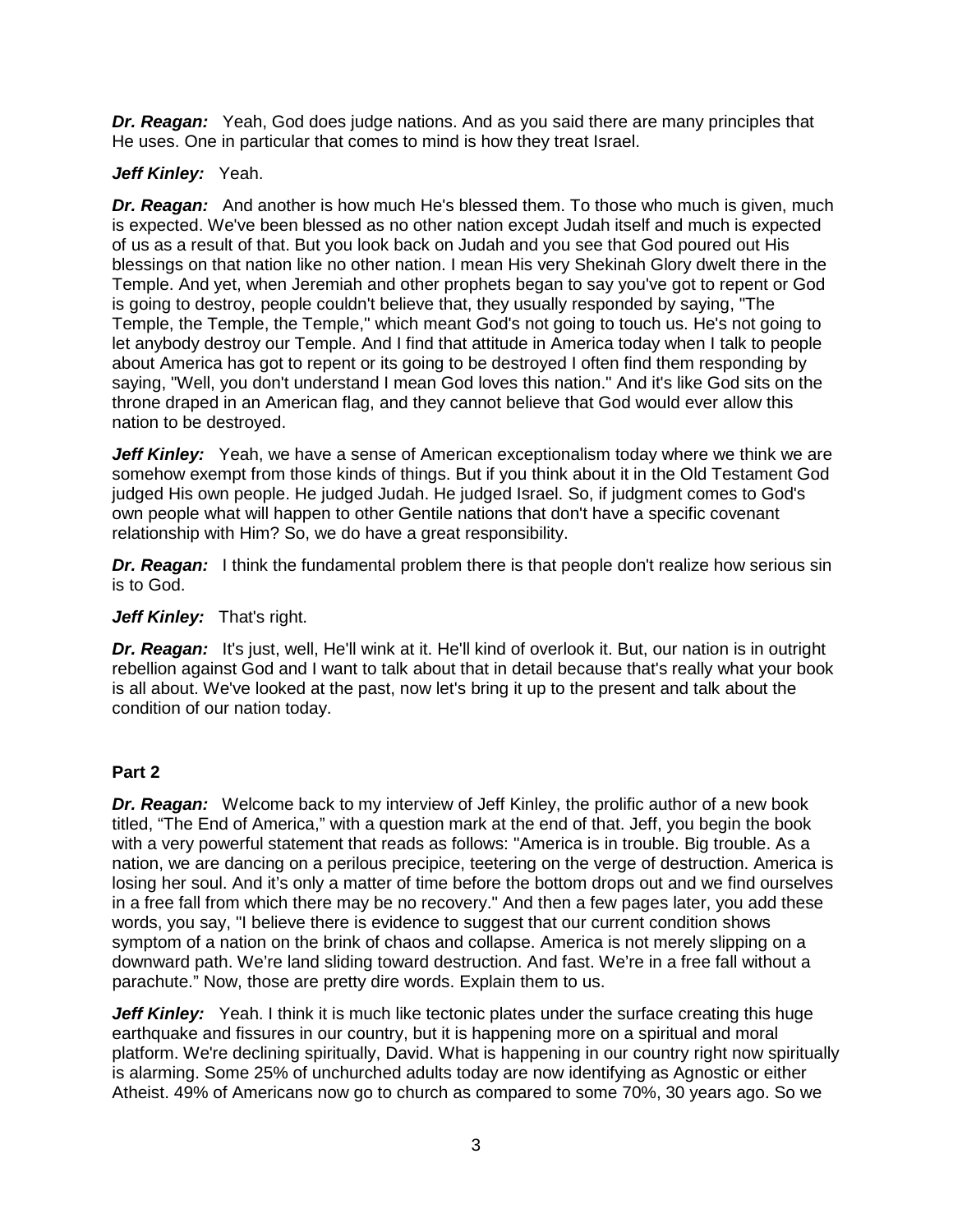*Dr. Reagan:* Yeah, God does judge nations. And as you said there are many principles that He uses. One in particular that comes to mind is how they treat Israel.

## Jeff Kinley: Yeah.

**Dr. Reagan:** And another is how much He's blessed them. To those who much is given, much is expected. We've been blessed as no other nation except Judah itself and much is expected of us as a result of that. But you look back on Judah and you see that God poured out His blessings on that nation like no other nation. I mean His very Shekinah Glory dwelt there in the Temple. And yet, when Jeremiah and other prophets began to say you've got to repent or God is going to destroy, people couldn't believe that, they usually responded by saying, "The Temple, the Temple, the Temple," which meant God's not going to touch us. He's not going to let anybody destroy our Temple. And I find that attitude in America today when I talk to people about America has got to repent or its going to be destroyed I often find them responding by saying, "Well, you don't understand I mean God loves this nation." And it's like God sits on the throne draped in an American flag, and they cannot believe that God would ever allow this nation to be destroyed.

*Jeff Kinley:* Yeah, we have a sense of American exceptionalism today where we think we are somehow exempt from those kinds of things. But if you think about it in the Old Testament God judged His own people. He judged Judah. He judged Israel. So, if judgment comes to God's own people what will happen to other Gentile nations that don't have a specific covenant relationship with Him? So, we do have a great responsibility.

**Dr. Reagan:** I think the fundamental problem there is that people don't realize how serious sin is to God.

#### Jeff Kinley: That's right.

*Dr. Reagan:* It's just, well, He'll wink at it. He'll kind of overlook it. But, our nation is in outright rebellion against God and I want to talk about that in detail because that's really what your book is all about. We've looked at the past, now let's bring it up to the present and talk about the condition of our nation today.

#### **Part 2**

**Dr. Reagan:** Welcome back to my interview of Jeff Kinley, the prolific author of a new book titled, "The End of America," with a question mark at the end of that. Jeff, you begin the book with a very powerful statement that reads as follows: "America is in trouble. Big trouble. As a nation, we are dancing on a perilous precipice, teetering on the verge of destruction. America is losing her soul. And it's only a matter of time before the bottom drops out and we find ourselves in a free fall from which there may be no recovery." And then a few pages later, you add these words, you say, "I believe there is evidence to suggest that our current condition shows symptom of a nation on the brink of chaos and collapse. America is not merely slipping on a downward path. We're land sliding toward destruction. And fast. We're in a free fall without a parachute." Now, those are pretty dire words. Explain them to us.

*Jeff Kinley:* Yeah. I think it is much like tectonic plates under the surface creating this huge earthquake and fissures in our country, but it is happening more on a spiritual and moral platform. We're declining spiritually, David. What is happening in our country right now spiritually is alarming. Some 25% of unchurched adults today are now identifying as Agnostic or either Atheist. 49% of Americans now go to church as compared to some 70%, 30 years ago. So we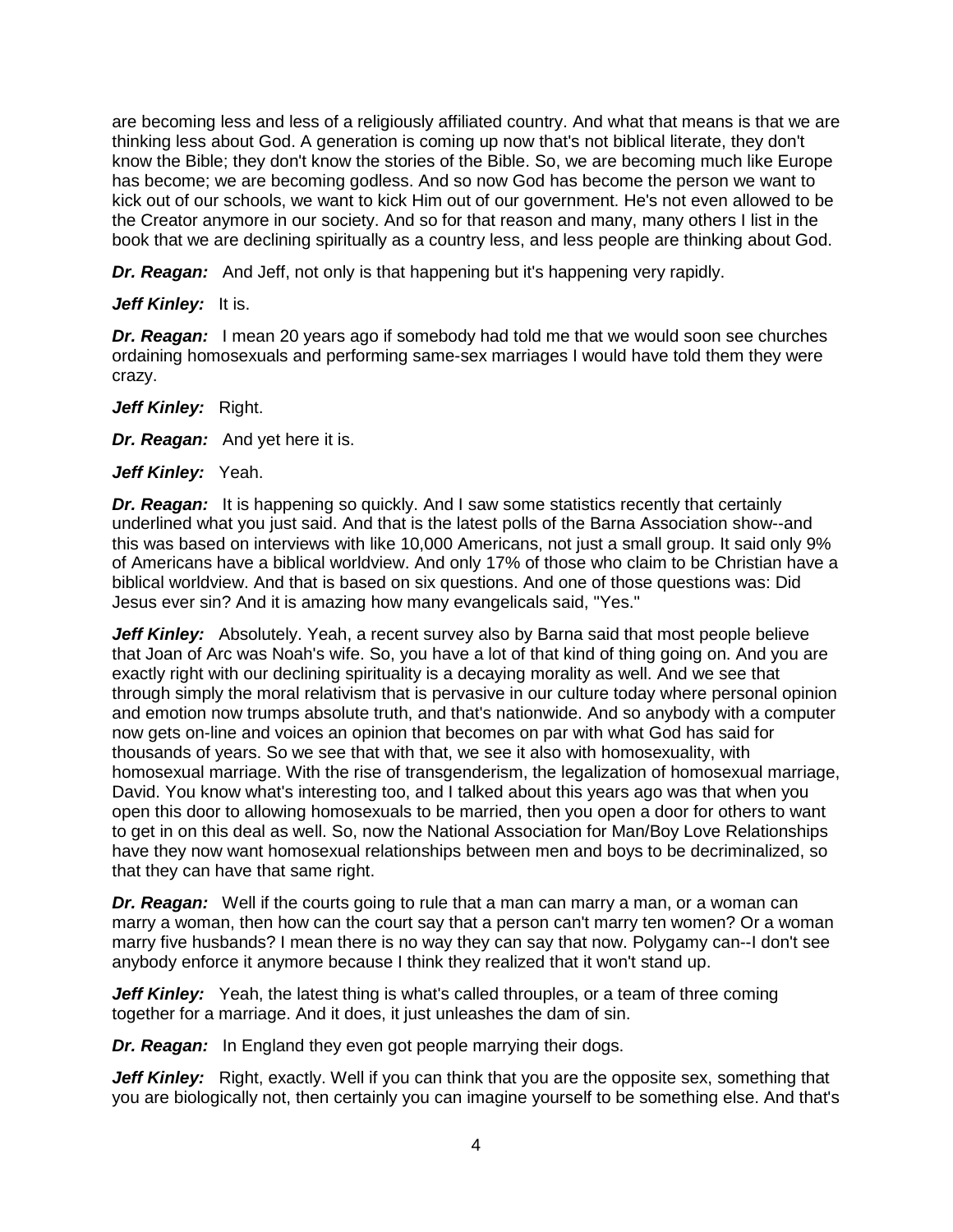are becoming less and less of a religiously affiliated country. And what that means is that we are thinking less about God. A generation is coming up now that's not biblical literate, they don't know the Bible; they don't know the stories of the Bible. So, we are becoming much like Europe has become; we are becoming godless. And so now God has become the person we want to kick out of our schools, we want to kick Him out of our government. He's not even allowed to be the Creator anymore in our society. And so for that reason and many, many others I list in the book that we are declining spiritually as a country less, and less people are thinking about God.

*Dr. Reagan:* And Jeff, not only is that happening but it's happening very rapidly.

#### *Jeff Kinley:* It is.

*Dr. Reagan:* I mean 20 years ago if somebody had told me that we would soon see churches ordaining homosexuals and performing same-sex marriages I would have told them they were crazy.

Jeff Kinley: Right.

*Dr. Reagan:* And yet here it is.

Jeff Kinley: Yeah.

**Dr. Reagan:** It is happening so quickly. And I saw some statistics recently that certainly underlined what you just said. And that is the latest polls of the Barna Association show--and this was based on interviews with like 10,000 Americans, not just a small group. It said only 9% of Americans have a biblical worldview. And only 17% of those who claim to be Christian have a biblical worldview. And that is based on six questions. And one of those questions was: Did Jesus ever sin? And it is amazing how many evangelicals said, "Yes."

**Jeff Kinley:** Absolutely. Yeah, a recent survey also by Barna said that most people believe that Joan of Arc was Noah's wife. So, you have a lot of that kind of thing going on. And you are exactly right with our declining spirituality is a decaying morality as well. And we see that through simply the moral relativism that is pervasive in our culture today where personal opinion and emotion now trumps absolute truth, and that's nationwide. And so anybody with a computer now gets on-line and voices an opinion that becomes on par with what God has said for thousands of years. So we see that with that, we see it also with homosexuality, with homosexual marriage. With the rise of transgenderism, the legalization of homosexual marriage, David. You know what's interesting too, and I talked about this years ago was that when you open this door to allowing homosexuals to be married, then you open a door for others to want to get in on this deal as well. So, now the National Association for Man/Boy Love Relationships have they now want homosexual relationships between men and boys to be decriminalized, so that they can have that same right.

*Dr. Reagan:* Well if the courts going to rule that a man can marry a man, or a woman can marry a woman, then how can the court say that a person can't marry ten women? Or a woman marry five husbands? I mean there is no way they can say that now. Polygamy can--I don't see anybody enforce it anymore because I think they realized that it won't stand up.

**Jeff Kinley:** Yeah, the latest thing is what's called throuples, or a team of three coming together for a marriage. And it does, it just unleashes the dam of sin.

*Dr. Reagan:* In England they even got people marrying their dogs.

Jeff Kinley: Right, exactly. Well if you can think that you are the opposite sex, something that you are biologically not, then certainly you can imagine yourself to be something else. And that's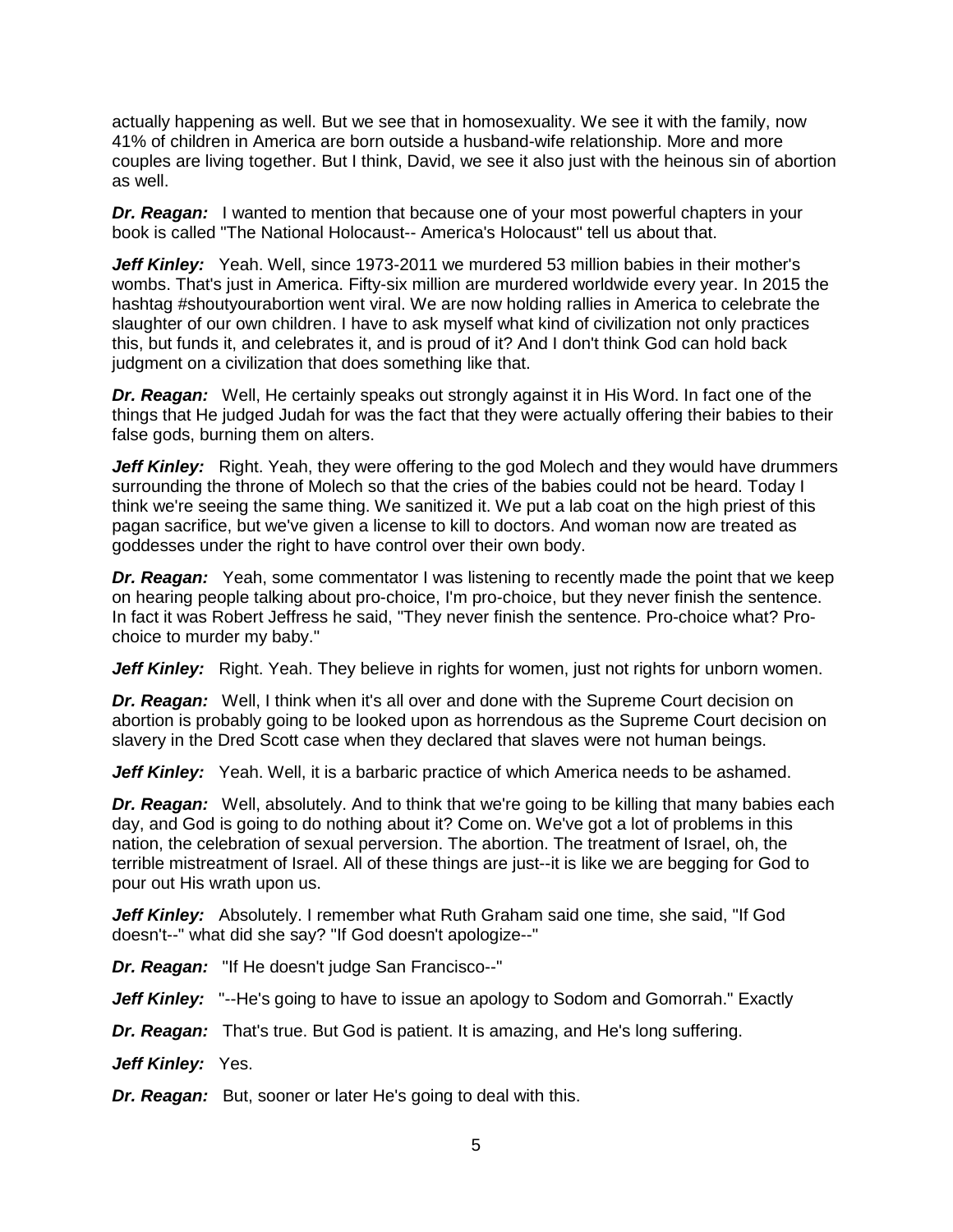actually happening as well. But we see that in homosexuality. We see it with the family, now 41% of children in America are born outside a husband-wife relationship. More and more couples are living together. But I think, David, we see it also just with the heinous sin of abortion as well.

*Dr. Reagan:* I wanted to mention that because one of your most powerful chapters in your book is called "The National Holocaust-- America's Holocaust" tell us about that.

Jeff Kinley: Yeah. Well, since 1973-2011 we murdered 53 million babies in their mother's wombs. That's just in America. Fifty-six million are murdered worldwide every year. In 2015 the hashtag #shoutyourabortion went viral. We are now holding rallies in America to celebrate the slaughter of our own children. I have to ask myself what kind of civilization not only practices this, but funds it, and celebrates it, and is proud of it? And I don't think God can hold back judgment on a civilization that does something like that.

*Dr. Reagan:* Well, He certainly speaks out strongly against it in His Word. In fact one of the things that He judged Judah for was the fact that they were actually offering their babies to their false gods, burning them on alters.

**Jeff Kinley:** Right. Yeah, they were offering to the god Molech and they would have drummers surrounding the throne of Molech so that the cries of the babies could not be heard. Today I think we're seeing the same thing. We sanitized it. We put a lab coat on the high priest of this pagan sacrifice, but we've given a license to kill to doctors. And woman now are treated as goddesses under the right to have control over their own body.

*Dr. Reagan:* Yeah, some commentator I was listening to recently made the point that we keep on hearing people talking about pro-choice, I'm pro-choice, but they never finish the sentence. In fact it was Robert Jeffress he said, "They never finish the sentence. Pro-choice what? Prochoice to murder my baby."

Jeff Kinley: Right. Yeah. They believe in rights for women, just not rights for unborn women.

*Dr. Reagan:* Well, I think when it's all over and done with the Supreme Court decision on abortion is probably going to be looked upon as horrendous as the Supreme Court decision on slavery in the Dred Scott case when they declared that slaves were not human beings.

Jeff Kinley: Yeah. Well, it is a barbaric practice of which America needs to be ashamed.

**Dr. Reagan:** Well, absolutely. And to think that we're going to be killing that many babies each day, and God is going to do nothing about it? Come on. We've got a lot of problems in this nation, the celebration of sexual perversion. The abortion. The treatment of Israel, oh, the terrible mistreatment of Israel. All of these things are just--it is like we are begging for God to pour out His wrath upon us.

**Jeff Kinley:** Absolutely. I remember what Ruth Graham said one time, she said, "If God doesn't--" what did she say? "If God doesn't apologize--"

*Dr. Reagan:* "If He doesn't judge San Francisco--"

*Jeff Kinley:* "--He's going to have to issue an apology to Sodom and Gomorrah." Exactly

*Dr. Reagan:* That's true. But God is patient. It is amazing, and He's long suffering.

Jeff Kinley: Yes.

*Dr. Reagan:* But, sooner or later He's going to deal with this.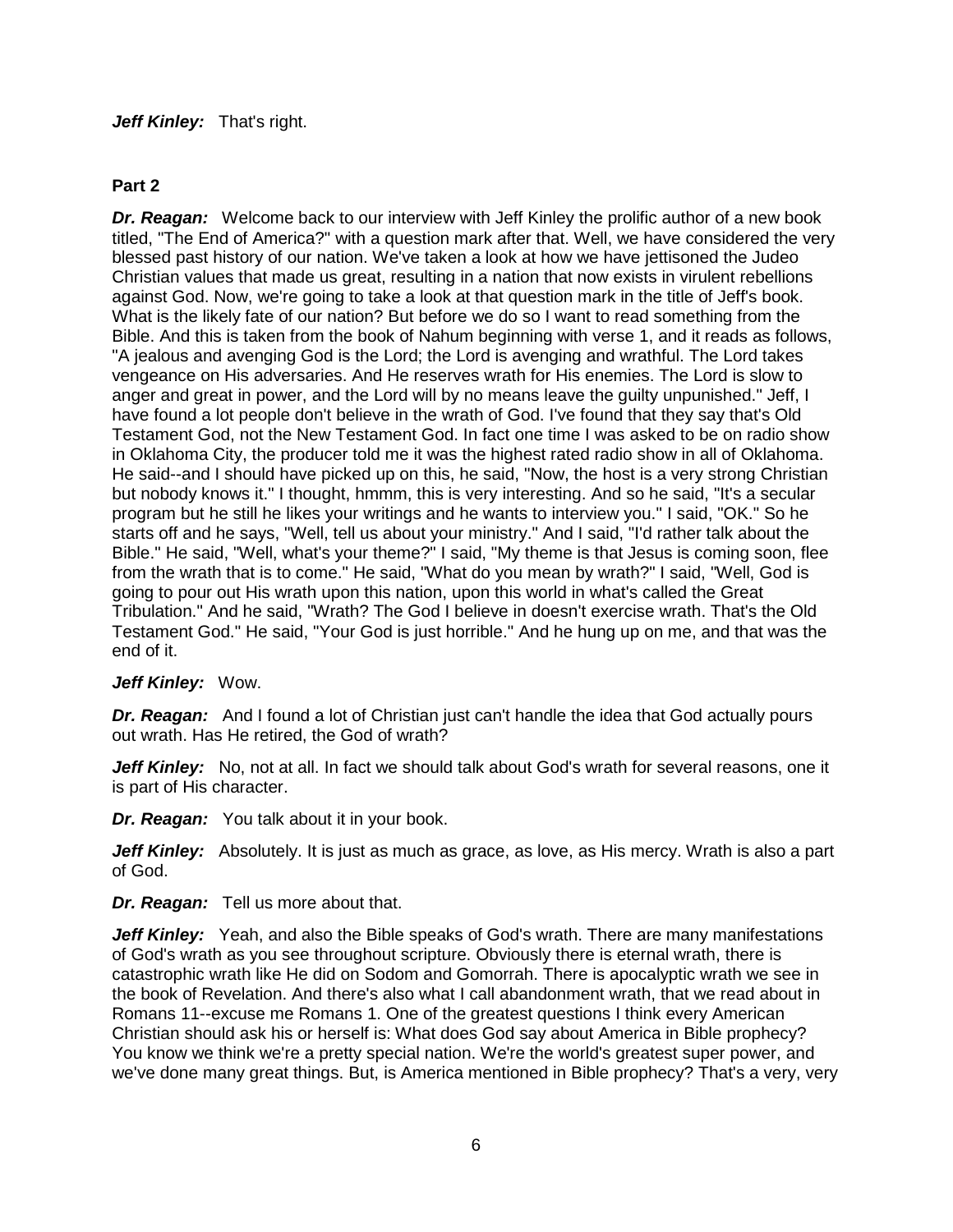#### Jeff Kinley: That's right.

## **Part 2**

*Dr. Reagan:* Welcome back to our interview with Jeff Kinley the prolific author of a new book titled, "The End of America?" with a question mark after that. Well, we have considered the very blessed past history of our nation. We've taken a look at how we have jettisoned the Judeo Christian values that made us great, resulting in a nation that now exists in virulent rebellions against God. Now, we're going to take a look at that question mark in the title of Jeff's book. What is the likely fate of our nation? But before we do so I want to read something from the Bible. And this is taken from the book of Nahum beginning with verse 1, and it reads as follows, "A jealous and avenging God is the Lord; the Lord is avenging and wrathful. The Lord takes vengeance on His adversaries. And He reserves wrath for His enemies. The Lord is slow to anger and great in power, and the Lord will by no means leave the guilty unpunished." Jeff, I have found a lot people don't believe in the wrath of God. I've found that they say that's Old Testament God, not the New Testament God. In fact one time I was asked to be on radio show in Oklahoma City, the producer told me it was the highest rated radio show in all of Oklahoma. He said--and I should have picked up on this, he said, "Now, the host is a very strong Christian but nobody knows it." I thought, hmmm, this is very interesting. And so he said, "It's a secular program but he still he likes your writings and he wants to interview you." I said, "OK." So he starts off and he says, "Well, tell us about your ministry." And I said, "I'd rather talk about the Bible." He said, "Well, what's your theme?" I said, "My theme is that Jesus is coming soon, flee from the wrath that is to come." He said, "What do you mean by wrath?" I said, "Well, God is going to pour out His wrath upon this nation, upon this world in what's called the Great Tribulation." And he said, "Wrath? The God I believe in doesn't exercise wrath. That's the Old Testament God." He said, "Your God is just horrible." And he hung up on me, and that was the end of it.

## *Jeff Kinley:* Wow.

**Dr. Reagan:** And I found a lot of Christian just can't handle the idea that God actually pours out wrath. Has He retired, the God of wrath?

**Jeff Kinley:** No, not at all. In fact we should talk about God's wrath for several reasons, one it is part of His character.

*Dr. Reagan:* You talk about it in your book.

**Jeff Kinley:** Absolutely. It is just as much as grace, as love, as His mercy. Wrath is also a part of God.

*Dr. Reagan:* Tell us more about that.

**Jeff Kinley:** Yeah, and also the Bible speaks of God's wrath. There are many manifestations of God's wrath as you see throughout scripture. Obviously there is eternal wrath, there is catastrophic wrath like He did on Sodom and Gomorrah. There is apocalyptic wrath we see in the book of Revelation. And there's also what I call abandonment wrath, that we read about in Romans 11--excuse me Romans 1. One of the greatest questions I think every American Christian should ask his or herself is: What does God say about America in Bible prophecy? You know we think we're a pretty special nation. We're the world's greatest super power, and we've done many great things. But, is America mentioned in Bible prophecy? That's a very, very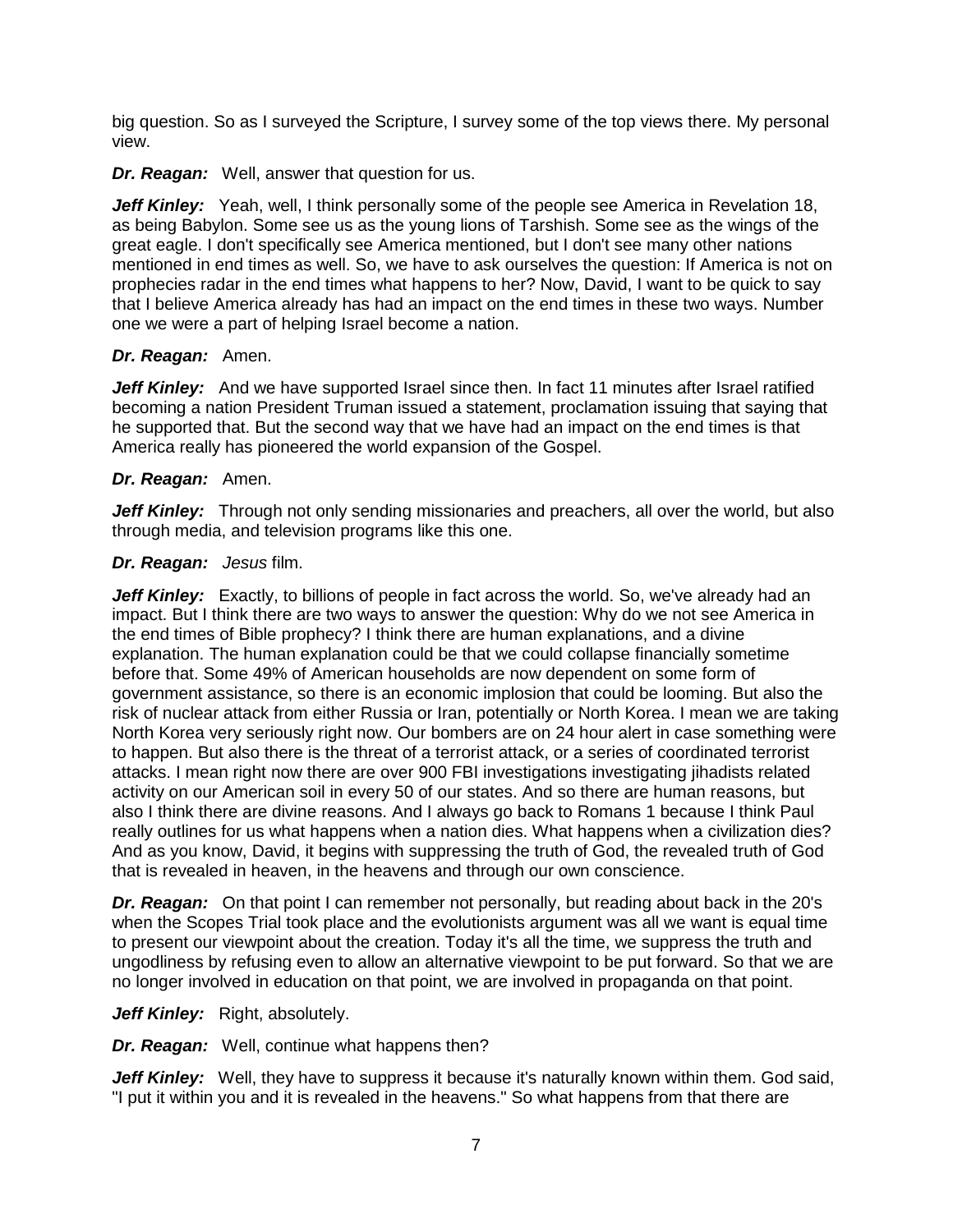big question. So as I surveyed the Scripture, I survey some of the top views there. My personal view.

*Dr. Reagan:* Well, answer that question for us.

Jeff Kinley: Yeah, well, I think personally some of the people see America in Revelation 18, as being Babylon. Some see us as the young lions of Tarshish. Some see as the wings of the great eagle. I don't specifically see America mentioned, but I don't see many other nations mentioned in end times as well. So, we have to ask ourselves the question: If America is not on prophecies radar in the end times what happens to her? Now, David, I want to be quick to say that I believe America already has had an impact on the end times in these two ways. Number one we were a part of helping Israel become a nation.

#### *Dr. Reagan:* Amen.

Jeff Kinley: And we have supported Israel since then. In fact 11 minutes after Israel ratified becoming a nation President Truman issued a statement, proclamation issuing that saying that he supported that. But the second way that we have had an impact on the end times is that America really has pioneered the world expansion of the Gospel.

#### *Dr. Reagan:* Amen.

*Jeff Kinley:* Through not only sending missionaries and preachers, all over the world, but also through media, and television programs like this one.

#### *Dr. Reagan: Jesus* film.

**Jeff Kinley:** Exactly, to billions of people in fact across the world. So, we've already had an impact. But I think there are two ways to answer the question: Why do we not see America in the end times of Bible prophecy? I think there are human explanations, and a divine explanation. The human explanation could be that we could collapse financially sometime before that. Some 49% of American households are now dependent on some form of government assistance, so there is an economic implosion that could be looming. But also the risk of nuclear attack from either Russia or Iran, potentially or North Korea. I mean we are taking North Korea very seriously right now. Our bombers are on 24 hour alert in case something were to happen. But also there is the threat of a terrorist attack, or a series of coordinated terrorist attacks. I mean right now there are over 900 FBI investigations investigating jihadists related activity on our American soil in every 50 of our states. And so there are human reasons, but also I think there are divine reasons. And I always go back to Romans 1 because I think Paul really outlines for us what happens when a nation dies. What happens when a civilization dies? And as you know, David, it begins with suppressing the truth of God, the revealed truth of God that is revealed in heaven, in the heavens and through our own conscience.

**Dr. Reagan:** On that point I can remember not personally, but reading about back in the 20's when the Scopes Trial took place and the evolutionists argument was all we want is equal time to present our viewpoint about the creation. Today it's all the time, we suppress the truth and ungodliness by refusing even to allow an alternative viewpoint to be put forward. So that we are no longer involved in education on that point, we are involved in propaganda on that point.

#### Jeff Kinley: Right, absolutely.

*Dr. Reagan:* Well, continue what happens then?

Jeff Kinley: Well, they have to suppress it because it's naturally known within them. God said, "I put it within you and it is revealed in the heavens." So what happens from that there are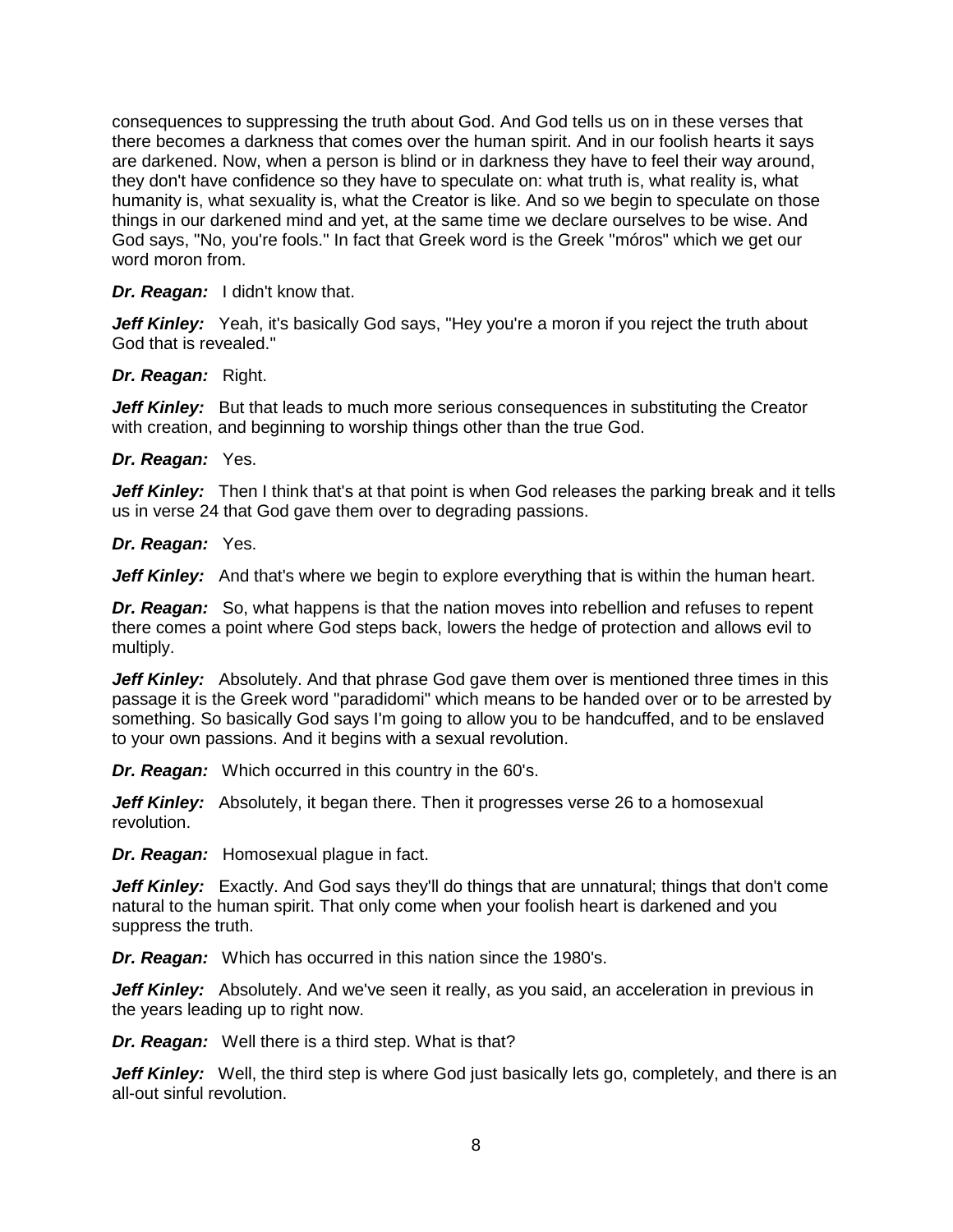consequences to suppressing the truth about God. And God tells us on in these verses that there becomes a darkness that comes over the human spirit. And in our foolish hearts it says are darkened. Now, when a person is blind or in darkness they have to feel their way around, they don't have confidence so they have to speculate on: what truth is, what reality is, what humanity is, what sexuality is, what the Creator is like. And so we begin to speculate on those things in our darkened mind and yet, at the same time we declare ourselves to be wise. And God says, "No, you're fools." In fact that Greek word is the Greek "móros" which we get our word moron from.

*Dr. Reagan:* I didn't know that.

**Jeff Kinley:** Yeah, it's basically God says, "Hey you're a moron if you reject the truth about God that is revealed."

*Dr. Reagan:* Right.

**Jeff Kinley:** But that leads to much more serious consequences in substituting the Creator with creation, and beginning to worship things other than the true God.

*Dr. Reagan:* Yes.

*Jeff Kinley:* Then I think that's at that point is when God releases the parking break and it tells us in verse 24 that God gave them over to degrading passions.

*Dr. Reagan:* Yes.

Jeff Kinley: And that's where we begin to explore everything that is within the human heart.

**Dr. Reagan:** So, what happens is that the nation moves into rebellion and refuses to repent there comes a point where God steps back, lowers the hedge of protection and allows evil to multiply.

**Jeff Kinley:** Absolutely. And that phrase God gave them over is mentioned three times in this passage it is the Greek word "paradidomi" which means to be handed over or to be arrested by something. So basically God says I'm going to allow you to be handcuffed, and to be enslaved to your own passions. And it begins with a sexual revolution.

*Dr. Reagan:* Which occurred in this country in the 60's.

**Jeff Kinley:** Absolutely, it began there. Then it progresses verse 26 to a homosexual revolution.

*Dr. Reagan:* Homosexual plague in fact.

**Jeff Kinley:** Exactly. And God says they'll do things that are unnatural; things that don't come natural to the human spirit. That only come when your foolish heart is darkened and you suppress the truth.

*Dr. Reagan:* Which has occurred in this nation since the 1980's.

**Jeff Kinley:** Absolutely. And we've seen it really, as you said, an acceleration in previous in the years leading up to right now.

*Dr. Reagan:* Well there is a third step. What is that?

**Jeff Kinley:** Well, the third step is where God just basically lets go, completely, and there is an all-out sinful revolution.